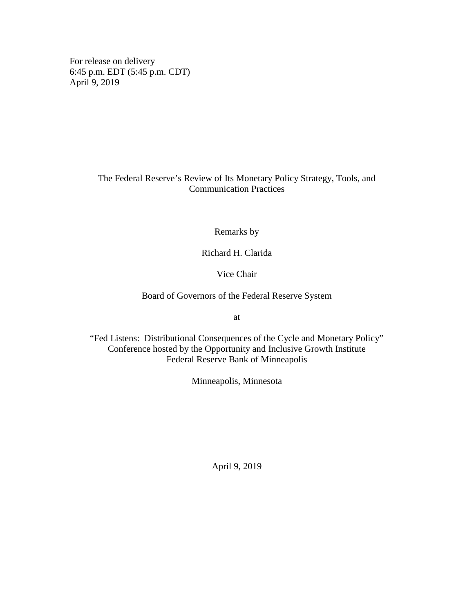For release on delivery 6:45 p.m. EDT (5:45 p.m. CDT) April 9, 2019

# The Federal Reserve's Review of Its Monetary Policy Strategy, Tools, and Communication Practices

Remarks by

Richard H. Clarida

Vice Chair

Board of Governors of the Federal Reserve System

at

"Fed Listens: Distributional Consequences of the Cycle and Monetary Policy" Conference hosted by the Opportunity and Inclusive Growth Institute Federal Reserve Bank of Minneapolis

Minneapolis, Minnesota

April 9, 2019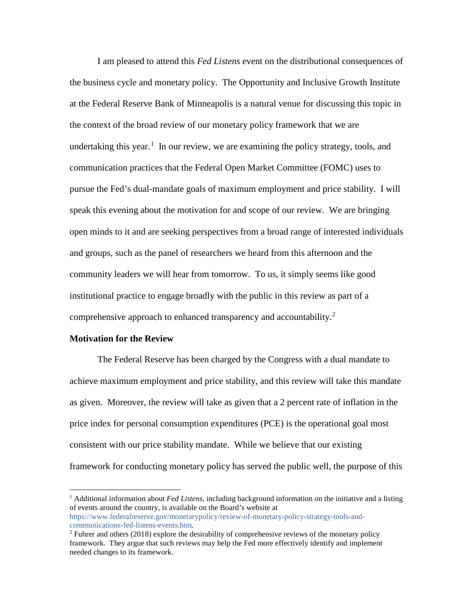I am pleased to attend this *Fed Listens* event on the distributional consequences of the business cycle and monetary policy. The Opportunity and Inclusive Growth Institute at the Federal Reserve Bank of Minneapolis is a natural venue for discussing this topic in the context of the broad review of our monetary policy framework that we are undertaking this year.<sup>[1](#page-1-0)</sup> In our review, we are examining the policy strategy, tools, and communication practices that the Federal Open Market Committee (FOMC) uses to pursue the Fed's dual-mandate goals of maximum employment and price stability. I will speak this evening about the motivation for and scope of our review. We are bringing open minds to it and are seeking perspectives from a broad range of interested individuals and groups, such as the panel of researchers we heard from this afternoon and the community leaders we will hear from tomorrow. To us, it simply seems like good institutional practice to engage broadly with the public in this review as part of a comprehensive approach to enhanced transparency and accountability.<sup>[2](#page-1-1)</sup>

## **Motivation for the Review**

The Federal Reserve has been charged by the Congress with a dual mandate to achieve maximum employment and price stability, and this review will take this mandate as given. Moreover, the review will take as given that a 2 percent rate of inflation in the price index for personal consumption expenditures (PCE) is the operational goal most consistent with our price stability mandate. While we believe that our existing framework for conducting monetary policy has served the public well, the purpose of this

<span id="page-1-0"></span> <sup>1</sup> Additional information about *Fed Listens,* including background information on the initiative and a listing of events around the country, is available on the Board's website at [https://www.federalreserve.gov/monetarypolicy/review-of-monetary-policy-strategy-tools-and](https://www.federalreserve.gov/monetarypolicy/review-of-monetary-policy-strategy-tools-and-communications-fed-listens-events.htm)[communications-fed-listens-events.htm.](https://www.federalreserve.gov/monetarypolicy/review-of-monetary-policy-strategy-tools-and-communications-fed-listens-events.htm)

<span id="page-1-1"></span><sup>2</sup> Fuhrer and others (2018) explore the desirability of comprehensive reviews of the monetary policy framework. They argue that such reviews may help the Fed more effectively identify and implement needed changes to its framework.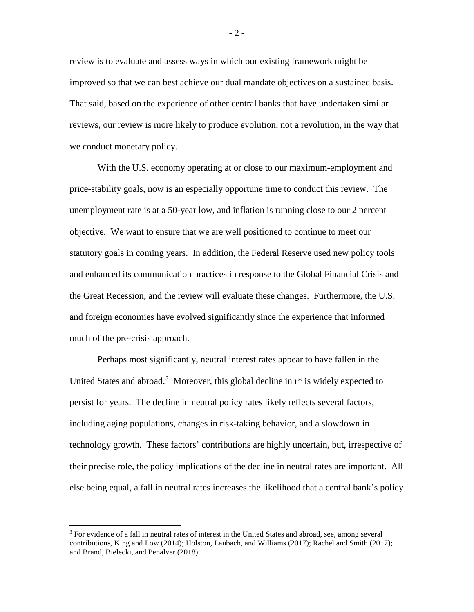review is to evaluate and assess ways in which our existing framework might be improved so that we can best achieve our dual mandate objectives on a sustained basis. That said, based on the experience of other central banks that have undertaken similar reviews, our review is more likely to produce evolution, not a revolution, in the way that we conduct monetary policy.

With the U.S. economy operating at or close to our maximum-employment and price-stability goals, now is an especially opportune time to conduct this review. The unemployment rate is at a 50-year low, and inflation is running close to our 2 percent objective. We want to ensure that we are well positioned to continue to meet our statutory goals in coming years. In addition, the Federal Reserve used new policy tools and enhanced its communication practices in response to the Global Financial Crisis and the Great Recession, and the review will evaluate these changes. Furthermore, the U.S. and foreign economies have evolved significantly since the experience that informed much of the pre-crisis approach.

Perhaps most significantly, neutral interest rates appear to have fallen in the United States and abroad.<sup>[3](#page-2-0)</sup> Moreover, this global decline in  $r^*$  is widely expected to persist for years. The decline in neutral policy rates likely reflects several factors, including aging populations, changes in risk-taking behavior, and a slowdown in technology growth. These factors' contributions are highly uncertain, but, irrespective of their precise role, the policy implications of the decline in neutral rates are important. All else being equal, a fall in neutral rates increases the likelihood that a central bank's policy

- 2 -

<span id="page-2-0"></span><sup>&</sup>lt;sup>3</sup> For evidence of a fall in neutral rates of interest in the United States and abroad, see, among several contributions, King and Low (2014); Holston, Laubach, and Williams (2017); Rachel and Smith (2017); and Brand, Bielecki, and Penalver (2018).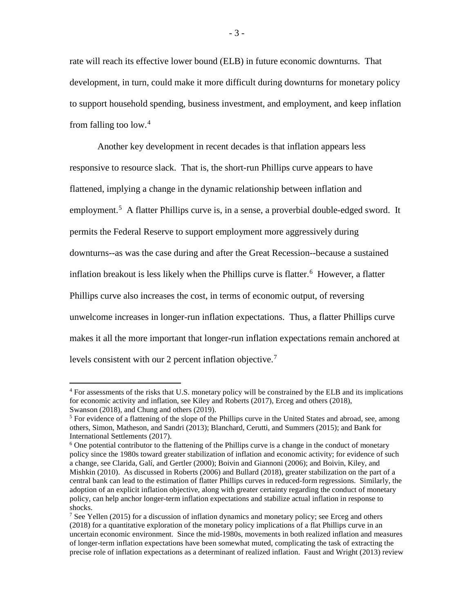rate will reach its effective lower bound (ELB) in future economic downturns. That development, in turn, could make it more difficult during downturns for monetary policy to support household spending, business investment, and employment, and keep inflation from falling too low. [4](#page-3-0)

Another key development in recent decades is that inflation appears less responsive to resource slack. That is, the short-run Phillips curve appears to have flattened, implying a change in the dynamic relationship between inflation and employment.<sup>[5](#page-3-1)</sup> A flatter Phillips curve is, in a sense, a proverbial double-edged sword. It permits the Federal Reserve to support employment more aggressively during downturns--as was the case during and after the Great Recession--because a sustained inflation breakout is less likely when the Phillips curve is flatter. [6](#page-3-2) However, a flatter Phillips curve also increases the cost, in terms of economic output, of reversing unwelcome increases in longer-run inflation expectations. Thus, a flatter Phillips curve makes it all the more important that longer-run inflation expectations remain anchored at levels consistent with our 2 percent inflation objective.<sup>[7](#page-3-3)</sup>

<span id="page-3-0"></span><sup>&</sup>lt;sup>4</sup> For assessments of the risks that U.S. monetary policy will be constrained by the ELB and its implications for economic activity and inflation, see Kiley and Roberts (2017), Erceg and others (2018), Swanson (2018), and Chung and others (2019).

<span id="page-3-1"></span> $<sup>5</sup>$  For evidence of a flattening of the slope of the Phillips curve in the United States and abroad, see, among</sup> others, Simon, Matheson, and Sandri (2013); Blanchard, Cerutti, and Summers (2015); and Bank for International Settlements (2017).

<span id="page-3-2"></span> $6$  One potential contributor to the flattening of the Phillips curve is a change in the conduct of monetary policy since the 1980s toward greater stabilization of inflation and economic activity; for evidence of such a change, see Clarida, Galí, and Gertler (2000); Boivin and Giannoni (2006); and Boivin, Kiley, and Mishkin (2010). As discussed in Roberts (2006) and Bullard (2018), greater stabilization on the part of a central bank can lead to the estimation of flatter Phillips curves in reduced-form regressions. Similarly, the adoption of an explicit inflation objective, along with greater certainty regarding the conduct of monetary policy, can help anchor longer-term inflation expectations and stabilize actual inflation in response to shocks.

<span id="page-3-3"></span><sup>&</sup>lt;sup>7</sup> See Yellen (2015) for a discussion of inflation dynamics and monetary policy; see Erceg and others (2018) for a quantitative exploration of the monetary policy implications of a flat Phillips curve in an uncertain economic environment. Since the mid-1980s, movements in both realized inflation and measures of longer-term inflation expectations have been somewhat muted, complicating the task of extracting the precise role of inflation expectations as a determinant of realized inflation. Faust and Wright (2013) review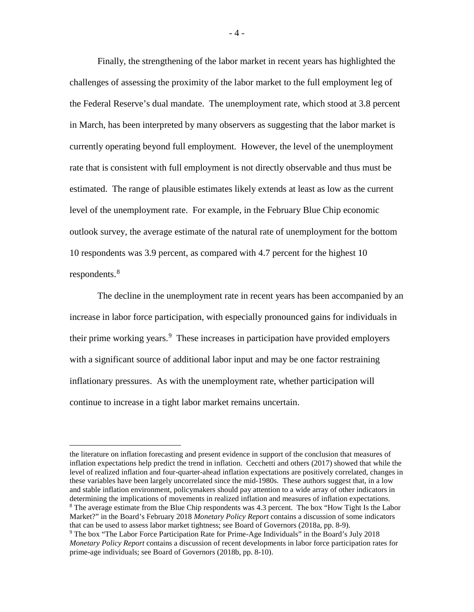Finally, the strengthening of the labor market in recent years has highlighted the challenges of assessing the proximity of the labor market to the full employment leg of the Federal Reserve's dual mandate. The unemployment rate, which stood at 3.8 percent in March, has been interpreted by many observers as suggesting that the labor market is currently operating beyond full employment. However, the level of the unemployment rate that is consistent with full employment is not directly observable and thus must be estimated. The range of plausible estimates likely extends at least as low as the current level of the unemployment rate. For example, in the February Blue Chip economic outlook survey, the average estimate of the natural rate of unemployment for the bottom 10 respondents was 3.9 percent, as compared with 4.7 percent for the highest 10 respondents.<sup>[8](#page-4-0)</sup>

The decline in the unemployment rate in recent years has been accompanied by an increase in labor force participation, with especially pronounced gains for individuals in their prime working years. [9](#page-4-1) These increases in participation have provided employers with a significant source of additional labor input and may be one factor restraining inflationary pressures. As with the unemployment rate, whether participation will continue to increase in a tight labor market remains uncertain.

the literature on inflation forecasting and present evidence in support of the conclusion that measures of inflation expectations help predict the trend in inflation. Cecchetti and others (2017) showed that while the level of realized inflation and four-quarter-ahead inflation expectations are positively correlated, changes in these variables have been largely uncorrelated since the mid-1980s. These authors suggest that, in a low and stable inflation environment, policymakers should pay attention to a wide array of other indicators in determining the implications of movements in realized inflation and measures of inflation expectations. <sup>8</sup> The average estimate from the Blue Chip respondents was 4.3 percent. The box "How Tight Is the Labor" Market?" in the Board's February 2018 *Monetary Policy Report* contains a discussion of some indicators that can be used to assess labor market tightness; see Board of Governors (2018a, pp. 8-9).

<span id="page-4-1"></span><span id="page-4-0"></span><sup>9</sup> The box "The Labor Force Participation Rate for Prime-Age Individuals" in the Board's July 2018 *Monetary Policy Report* contains a discussion of recent developments in labor force participation rates for prime-age individuals; see Board of Governors (2018b, pp. 8-10).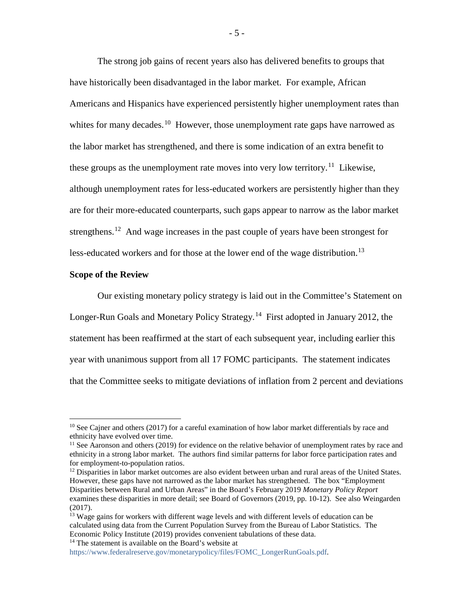The strong job gains of recent years also has delivered benefits to groups that have historically been disadvantaged in the labor market. For example, African Americans and Hispanics have experienced persistently higher unemployment rates than whites for many decades.<sup>10</sup> However, those unemployment rate gaps have narrowed as the labor market has strengthened, and there is some indication of an extra benefit to these groups as the unemployment rate moves into very low territory.<sup>[11](#page-5-1)</sup> Likewise, although unemployment rates for less-educated workers are persistently higher than they are for their more-educated counterparts, such gaps appear to narrow as the labor market strengthens.<sup>[12](#page-5-2)</sup> And wage increases in the past couple of years have been strongest for less-educated workers and for those at the lower end of the wage distribution.<sup>[13](#page-5-3)</sup>

#### **Scope of the Review**

Our existing monetary policy strategy is laid out in the Committee's Statement on Longer-Run Goals and Monetary Policy Strategy.[14](#page-5-4) First adopted in January 2012, the statement has been reaffirmed at the start of each subsequent year, including earlier this year with unanimous support from all 17 FOMC participants. The statement indicates that the Committee seeks to mitigate deviations of inflation from 2 percent and deviations

<span id="page-5-0"></span><sup>&</sup>lt;sup>10</sup> See Cajner and others (2017) for a careful examination of how labor market differentials by race and ethnicity have evolved over time.

<span id="page-5-1"></span> $<sup>11</sup>$  See Aaronson and others (2019) for evidence on the relative behavior of unemployment rates by race and</sup> ethnicity in a strong labor market. The authors find similar patterns for labor force participation rates and for employment-to-population ratios.

<span id="page-5-2"></span><sup>&</sup>lt;sup>12</sup> Disparities in labor market outcomes are also evident between urban and rural areas of the United States. However, these gaps have not narrowed as the labor market has strengthened. The box "Employment Disparities between Rural and Urban Areas" in the Board's February 2019 *Monetary Policy Report* examines these disparities in more detail; see Board of Governors (2019, pp. 10-12). See also Weingarden (2017).

<span id="page-5-3"></span><sup>&</sup>lt;sup>13</sup> Wage gains for workers with different wage levels and with different levels of education can be calculated using data from the Current Population Survey from the Bureau of Labor Statistics. The Economic Policy Institute (2019) provides convenient tabulations of these data. <sup>14</sup> The statement is available on the Board's website at

<span id="page-5-4"></span>[https://www.federalreserve.gov/monetarypolicy/files/FOMC\\_LongerRunGoals.pdf.](https://www.federalreserve.gov/monetarypolicy/files/FOMC_LongerRunGoals.pdf)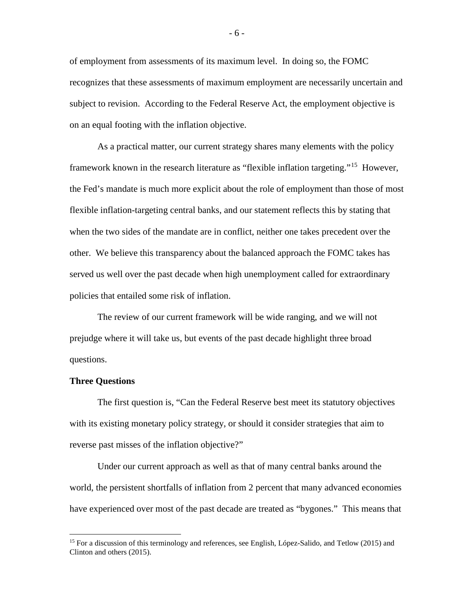of employment from assessments of its maximum level. In doing so, the FOMC recognizes that these assessments of maximum employment are necessarily uncertain and subject to revision. According to the Federal Reserve Act, the employment objective is on an equal footing with the inflation objective.

As a practical matter, our current strategy shares many elements with the policy framework known in the research literature as "flexible inflation targeting."[15](#page-6-0) However, the Fed's mandate is much more explicit about the role of employment than those of most flexible inflation-targeting central banks, and our statement reflects this by stating that when the two sides of the mandate are in conflict, neither one takes precedent over the other. We believe this transparency about the balanced approach the FOMC takes has served us well over the past decade when high unemployment called for extraordinary policies that entailed some risk of inflation.

The review of our current framework will be wide ranging, and we will not prejudge where it will take us, but events of the past decade highlight three broad questions.

#### **Three Questions**

The first question is, "Can the Federal Reserve best meet its statutory objectives with its existing monetary policy strategy, or should it consider strategies that aim to reverse past misses of the inflation objective?"

Under our current approach as well as that of many central banks around the world, the persistent shortfalls of inflation from 2 percent that many advanced economies have experienced over most of the past decade are treated as "bygones." This means that

<span id="page-6-0"></span><sup>&</sup>lt;sup>15</sup> For a discussion of this terminology and references, see English, López-Salido, and Tetlow (2015) and Clinton and others (2015).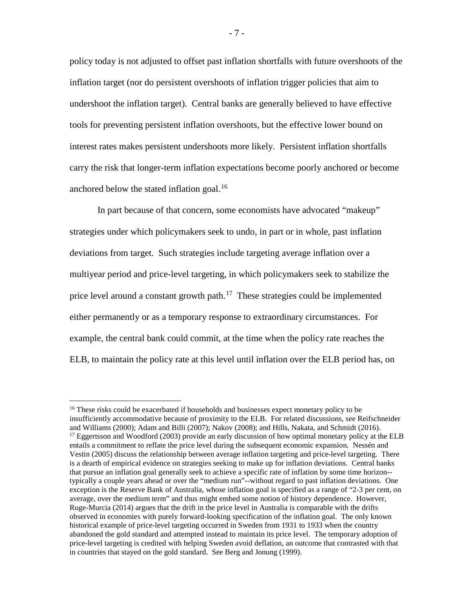policy today is not adjusted to offset past inflation shortfalls with future overshoots of the inflation target (nor do persistent overshoots of inflation trigger policies that aim to undershoot the inflation target). Central banks are generally believed to have effective tools for preventing persistent inflation overshoots, but the effective lower bound on interest rates makes persistent undershoots more likely. Persistent inflation shortfalls carry the risk that longer-term inflation expectations become poorly anchored or become anchored below the stated inflation goal.<sup>[16](#page-7-0)</sup>

In part because of that concern, some economists have advocated "makeup" strategies under which policymakers seek to undo, in part or in whole, past inflation deviations from target. Such strategies include targeting average inflation over a multiyear period and price-level targeting, in which policymakers seek to stabilize the price level around a constant growth path.<sup>[17](#page-7-1)</sup> These strategies could be implemented either permanently or as a temporary response to extraordinary circumstances. For example, the central bank could commit, at the time when the policy rate reaches the ELB, to maintain the policy rate at this level until inflation over the ELB period has, on

<span id="page-7-1"></span><span id="page-7-0"></span><sup>&</sup>lt;sup>16</sup> These risks could be exacerbated if households and businesses expect monetary policy to be insufficiently accommodative because of proximity to the ELB. For related discussions, see Reifschneider and Williams (2000); Adam and Billi (2007); Nakov (2008); and Hills, Nakata, and Schmidt (2016). <sup>17</sup> Eggertsson and Woodford (2003) provide an early discussion of how optimal monetary policy at the ELB entails a commitment to reflate the price level during the subsequent economic expansion. Nessén and Vestin (2005) discuss the relationship between average inflation targeting and price-level targeting. There is a dearth of empirical evidence on strategies seeking to make up for inflation deviations. Central banks that pursue an inflation goal generally seek to achieve a specific rate of inflation by some time horizon- typically a couple years ahead or over the "medium run"--without regard to past inflation deviations. One exception is the Reserve Bank of Australia, whose inflation goal is specified as a range of "2-3 per cent, on average, over the medium term" and thus might embed some notion of history dependence. However, Ruge-Murcia (2014) argues that the drift in the price level in Australia is comparable with the drifts observed in economies with purely forward-looking specification of the inflation goal. The only known historical example of price-level targeting occurred in Sweden from 1931 to 1933 when the country abandoned the gold standard and attempted instead to maintain its price level. The temporary adoption of price-level targeting is credited with helping Sweden avoid deflation, an outcome that contrasted with that in countries that stayed on the gold standard. See Berg and Jonung (1999).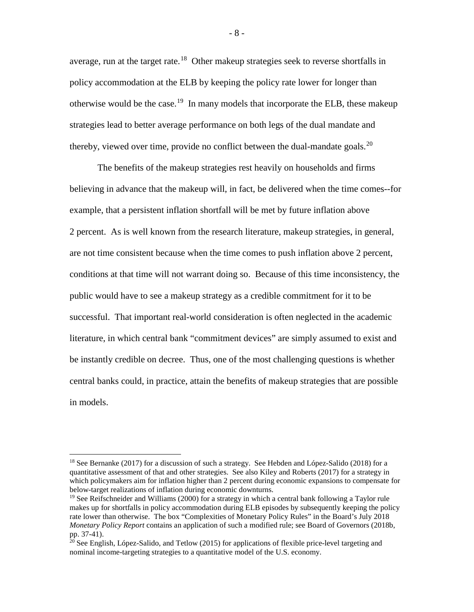average, run at the target rate.<sup>18</sup> Other makeup strategies seek to reverse shortfalls in policy accommodation at the ELB by keeping the policy rate lower for longer than otherwise would be the case.<sup>[19](#page-8-1)</sup> In many models that incorporate the ELB, these makeup strategies lead to better average performance on both legs of the dual mandate and thereby, viewed over time, provide no conflict between the dual-mandate goals.<sup>[20](#page-8-2)</sup>

The benefits of the makeup strategies rest heavily on households and firms believing in advance that the makeup will, in fact, be delivered when the time comes--for example, that a persistent inflation shortfall will be met by future inflation above 2 percent. As is well known from the research literature, makeup strategies, in general, are not time consistent because when the time comes to push inflation above 2 percent, conditions at that time will not warrant doing so. Because of this time inconsistency, the public would have to see a makeup strategy as a credible commitment for it to be successful. That important real-world consideration is often neglected in the academic literature, in which central bank "commitment devices" are simply assumed to exist and be instantly credible on decree. Thus, one of the most challenging questions is whether central banks could, in practice, attain the benefits of makeup strategies that are possible in models.

- 8 -

<span id="page-8-0"></span><sup>&</sup>lt;sup>18</sup> See Bernanke (2017) for a discussion of such a strategy. See Hebden and López-Salido (2018) for a quantitative assessment of that and other strategies. See also Kiley and Roberts (2017) for a strategy in which policymakers aim for inflation higher than 2 percent during economic expansions to compensate for below-target realizations of inflation during economic downturns.

<span id="page-8-1"></span> $19$  See Reifschneider and Williams (2000) for a strategy in which a central bank following a Taylor rule makes up for shortfalls in policy accommodation during ELB episodes by subsequently keeping the policy rate lower than otherwise. The box "Complexities of Monetary Policy Rules" in the Board's July 2018 *Monetary Policy Report* contains an application of such a modified rule; see Board of Governors (2018b, pp. 37-41).

<span id="page-8-2"></span> $20$  See English, López-Salido, and Tetlow (2015) for applications of flexible price-level targeting and nominal income-targeting strategies to a quantitative model of the U.S. economy.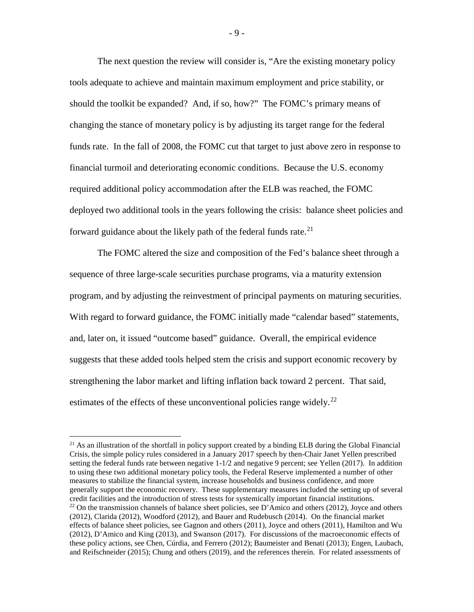The next question the review will consider is, "Are the existing monetary policy tools adequate to achieve and maintain maximum employment and price stability, or should the toolkit be expanded? And, if so, how?" The FOMC's primary means of changing the stance of monetary policy is by adjusting its target range for the federal funds rate. In the fall of 2008, the FOMC cut that target to just above zero in response to financial turmoil and deteriorating economic conditions. Because the U.S. economy required additional policy accommodation after the ELB was reached, the FOMC deployed two additional tools in the years following the crisis: balance sheet policies and forward guidance about the likely path of the federal funds rate.<sup>[21](#page-9-0)</sup>

The FOMC altered the size and composition of the Fed's balance sheet through a sequence of three large-scale securities purchase programs, via a maturity extension program, and by adjusting the reinvestment of principal payments on maturing securities. With regard to forward guidance, the FOMC initially made "calendar based" statements, and, later on, it issued "outcome based" guidance. Overall, the empirical evidence suggests that these added tools helped stem the crisis and support economic recovery by strengthening the labor market and lifting inflation back toward 2 percent. That said, estimates of the effects of these unconventional policies range widely.<sup>[22](#page-9-1)</sup>

<span id="page-9-1"></span><span id="page-9-0"></span><sup>&</sup>lt;sup>21</sup> As an illustration of the shortfall in policy support created by a binding ELB during the Global Financial Crisis, the simple policy rules considered in a January 2017 speech by then-Chair Janet Yellen prescribed setting the federal funds rate between negative 1-1/2 and negative 9 percent; see Yellen (2017). In addition to using these two additional monetary policy tools, the Federal Reserve implemented a number of other measures to stabilize the financial system, increase households and business confidence, and more generally support the economic recovery. These supplementary measures included the setting up of several credit facilities and the introduction of stress tests for systemically important financial institutions. <sup>22</sup> On the transmission channels of balance sheet policies, see D'Amico and others (2012), Joyce and others (2012), Clarida (2012), Woodford (2012), and Bauer and Rudebusch (2014). On the financial market effects of balance sheet policies, see Gagnon and others (2011), Joyce and others (2011), Hamilton and Wu (2012), D'Amico and King (2013), and Swanson (2017). For discussions of the macroeconomic effects of these policy actions, see Chen, Cúrdia, and Ferrero (2012); Baumeister and Benati (2013); Engen, Laubach, and Reifschneider (2015); Chung and others (2019), and the references therein. For related assessments of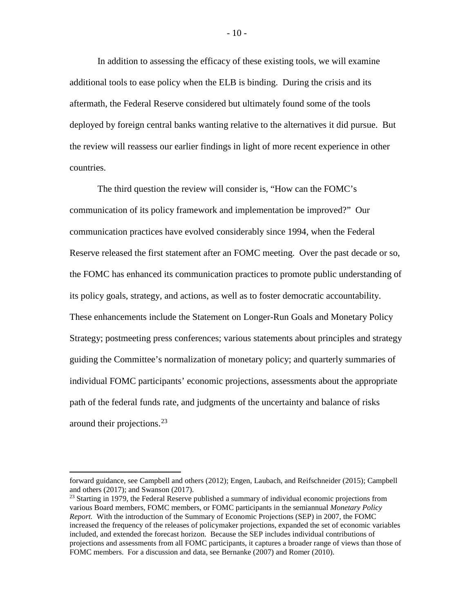In addition to assessing the efficacy of these existing tools, we will examine additional tools to ease policy when the ELB is binding. During the crisis and its aftermath, the Federal Reserve considered but ultimately found some of the tools deployed by foreign central banks wanting relative to the alternatives it did pursue. But the review will reassess our earlier findings in light of more recent experience in other countries.

The third question the review will consider is, "How can the FOMC's communication of its policy framework and implementation be improved?" Our communication practices have evolved considerably since 1994, when the Federal Reserve released the first statement after an FOMC meeting. Over the past decade or so, the FOMC has enhanced its communication practices to promote public understanding of its policy goals, strategy, and actions, as well as to foster democratic accountability. These enhancements include the Statement on Longer-Run Goals and Monetary Policy Strategy; postmeeting press conferences; various statements about principles and strategy guiding the Committee's normalization of monetary policy; and quarterly summaries of individual FOMC participants' economic projections, assessments about the appropriate path of the federal funds rate, and judgments of the uncertainty and balance of risks around their projections. [23](#page-10-0)

forward guidance, see Campbell and others (2012); Engen, Laubach, and Reifschneider (2015); Campbell and others (2017); and Swanson (2017).

<span id="page-10-0"></span> $^{23}$  Starting in 1979, the Federal Reserve published a summary of individual economic projections from various Board members, FOMC members, or FOMC participants in the semiannual *Monetary Policy Report.* With the introduction of the Summary of Economic Projections (SEP) in 2007, the FOMC increased the frequency of the releases of policymaker projections, expanded the set of economic variables included, and extended the forecast horizon. Because the SEP includes individual contributions of projections and assessments from all FOMC participants, it captures a broader range of views than those of FOMC members. For a discussion and data, see Bernanke (2007) and Romer (2010).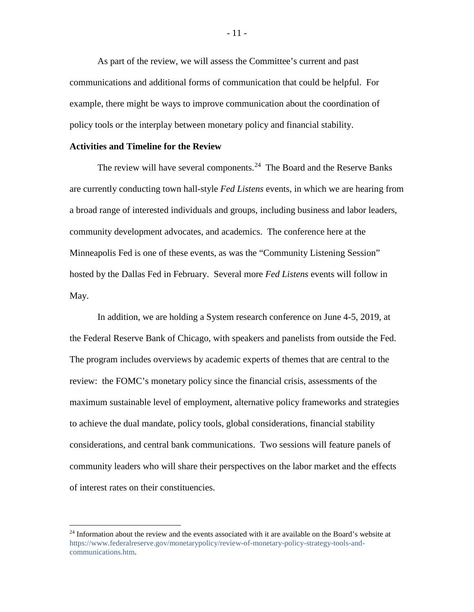As part of the review, we will assess the Committee's current and past communications and additional forms of communication that could be helpful. For example, there might be ways to improve communication about the coordination of policy tools or the interplay between monetary policy and financial stability.

## **Activities and Timeline for the Review**

The review will have several components.<sup>[24](#page-11-0)</sup> The Board and the Reserve Banks are currently conducting town hall-style *Fed Listens* events, in which we are hearing from a broad range of interested individuals and groups, including business and labor leaders, community development advocates, and academics. The conference here at the Minneapolis Fed is one of these events, as was the "Community Listening Session" hosted by the Dallas Fed in February. Several more *Fed Listens* events will follow in May.

In addition, we are holding a System research conference on June 4-5, 2019, at the Federal Reserve Bank of Chicago, with speakers and panelists from outside the Fed. The program includes overviews by academic experts of themes that are central to the review: the FOMC's monetary policy since the financial crisis, assessments of the maximum sustainable level of employment, alternative policy frameworks and strategies to achieve the dual mandate, policy tools, global considerations, financial stability considerations, and central bank communications. Two sessions will feature panels of community leaders who will share their perspectives on the labor market and the effects of interest rates on their constituencies.

<span id="page-11-0"></span><sup>&</sup>lt;sup>24</sup> Information about the review and the events associated with it are available on the Board's website at [https://www.federalreserve.gov/monetarypolicy/review-of-monetary-policy-strategy-tools-and](https://www.federalreserve.gov/monetarypolicy/review-of-monetary-policy-strategy-tools-and-communications.htm)[communications.htm.](https://www.federalreserve.gov/monetarypolicy/review-of-monetary-policy-strategy-tools-and-communications.htm)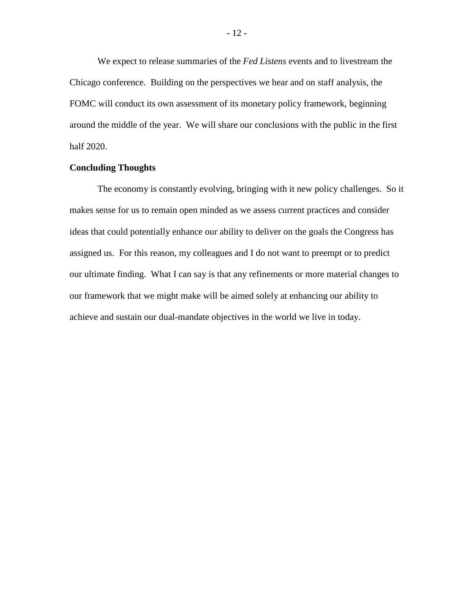We expect to release summaries of the *Fed Listens* events and to livestream the Chicago conference. Building on the perspectives we hear and on staff analysis, the FOMC will conduct its own assessment of its monetary policy framework, beginning around the middle of the year. We will share our conclusions with the public in the first half 2020.

## **Concluding Thoughts**

The economy is constantly evolving, bringing with it new policy challenges. So it makes sense for us to remain open minded as we assess current practices and consider ideas that could potentially enhance our ability to deliver on the goals the Congress has assigned us. For this reason, my colleagues and I do not want to preempt or to predict our ultimate finding. What I can say is that any refinements or more material changes to our framework that we might make will be aimed solely at enhancing our ability to achieve and sustain our dual-mandate objectives in the world we live in today.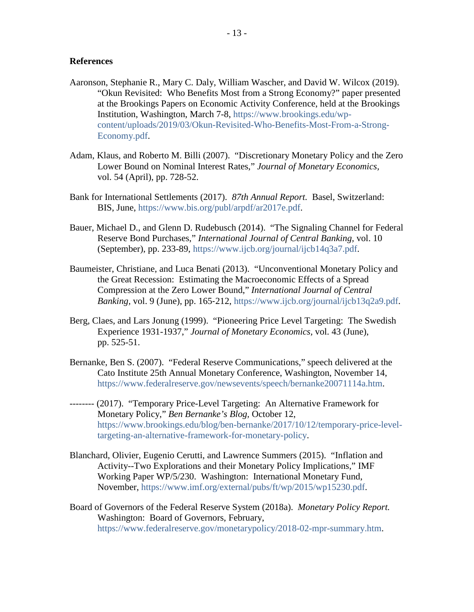## **References**

- Aaronson, Stephanie R., Mary C. Daly, William Wascher, and David W. Wilcox (2019). "Okun Revisited: Who Benefits Most from a Strong Economy?" paper presented at the Brookings Papers on Economic Activity Conference, held at the Brookings Institution, Washington, March 7-8, [https://www.brookings.edu/wp](https://www.brookings.edu/wp-content/uploads/2019/03/Okun-Revisited-Who-Benefits-Most-From-a-Strong-Economy.pdf)[content/uploads/2019/03/Okun-Revisited-Who-Benefits-Most-From-a-Strong-](https://www.brookings.edu/wp-content/uploads/2019/03/Okun-Revisited-Who-Benefits-Most-From-a-Strong-Economy.pdf)[Economy.pdf.](https://www.brookings.edu/wp-content/uploads/2019/03/Okun-Revisited-Who-Benefits-Most-From-a-Strong-Economy.pdf)
- Adam, Klaus, and Roberto M. Billi (2007). "Discretionary Monetary Policy and the Zero Lower Bound on Nominal Interest Rates," *Journal of Monetary Economics,* vol. 54 (April), pp. 728-52.
- Bank for International Settlements (2017). *87th Annual Report.* Basel, Switzerland: BIS, June, [https://www.bis.org/publ/arpdf/ar2017e.pdf.](https://www.bis.org/publ/arpdf/ar2017e.pdf)
- Bauer, Michael D., and Glenn D. Rudebusch (2014). "The Signaling Channel for Federal Reserve Bond Purchases," *International Journal of Central Banking,* vol. 10 (September), pp. 233-89, [https://www.ijcb.org/journal/ijcb14q3a7.pdf.](https://www.ijcb.org/journal/ijcb14q3a7.pdf)
- Baumeister, Christiane, and Luca Benati (2013). "Unconventional Monetary Policy and the Great Recession: Estimating the Macroeconomic Effects of a Spread Compression at the Zero Lower Bound," *International Journal of Central Banking,* vol. 9 (June), pp. 165-212, [https://www.ijcb.org/journal/ijcb13q2a9.pdf.](https://www.ijcb.org/journal/ijcb13q2a9.pdf)
- Berg, Claes, and Lars Jonung (1999). "Pioneering Price Level Targeting: The Swedish Experience 1931-1937," *Journal of Monetary Economics,* vol. 43 (June), pp. 525-51.
- Bernanke, Ben S. (2007). "Federal Reserve Communications," speech delivered at the Cato Institute 25th Annual Monetary Conference, Washington, November 14, [https://www.federalreserve.gov/newsevents/speech/bernanke20071114a.htm.](https://www.federalreserve.gov/newsevents/speech/bernanke20071114a.htm)
- -------- (2017). "Temporary Price-Level Targeting: An Alternative Framework for Monetary Policy," *Ben Bernanke's Blog,* October 12, [https://www.brookings.edu/blog/ben-bernanke/2017/10/12/temporary-price-level](https://www.brookings.edu/blog/ben-bernanke/2017/10/12/temporary-price-level-targeting-an-alternative-framework-for-monetary-policy/)[targeting-an-alternative-framework-for-monetary-policy.](https://www.brookings.edu/blog/ben-bernanke/2017/10/12/temporary-price-level-targeting-an-alternative-framework-for-monetary-policy/)
- Blanchard, Olivier, Eugenio Cerutti, and Lawrence Summers (2015). "Inflation and Activity--Two Explorations and their Monetary Policy Implications," IMF Working Paper WP/5/230. Washington: International Monetary Fund, November, [https://www.imf.org/external/pubs/ft/wp/2015/wp15230.pdf.](https://www.imf.org/external/pubs/ft/wp/2015/wp15230.pdf)
- Board of Governors of the Federal Reserve System (2018a). *Monetary Policy Report.* Washington: Board of Governors, February, [https://www.federalreserve.gov/monetarypolicy/2018-02-mpr-summary.htm.](https://www.federalreserve.gov/monetarypolicy/2018-02-mpr-summary.htm)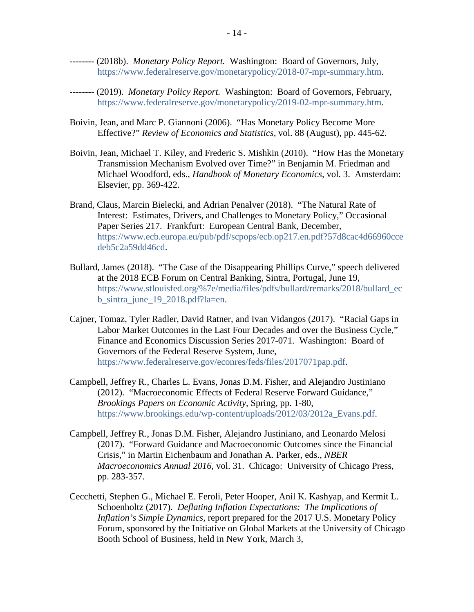- -------- (2018b). *Monetary Policy Report.* Washington: Board of Governors, July, [https://www.federalreserve.gov/monetarypolicy/2018-07-mpr-summary.htm.](https://www.federalreserve.gov/monetarypolicy/2018-07-mpr-summary.htm)
- -------- (2019). *Monetary Policy Report.* Washington: Board of Governors, February, [https://www.federalreserve.gov/monetarypolicy/2019-02-mpr-summary.htm.](https://www.federalreserve.gov/monetarypolicy/2019-02-mpr-summary.htm)
- Boivin, Jean, and Marc P. Giannoni (2006). "Has Monetary Policy Become More Effective?" *Review of Economics and Statistics,* vol. 88 (August), pp. 445-62.
- Boivin, Jean, Michael T. Kiley, and Frederic S. Mishkin (2010). "How Has the Monetary Transmission Mechanism Evolved over Time?" in Benjamin M. Friedman and Michael Woodford, eds., *Handbook of Monetary Economics*, vol. 3. Amsterdam: Elsevier, pp. 369-422.
- Brand, Claus, Marcin Bielecki, and Adrian Penalver (2018). "The Natural Rate of Interest: Estimates, Drivers, and Challenges to Monetary Policy," Occasional Paper Series 217. Frankfurt: European Central Bank, December, [https://www.ecb.europa.eu/pub/pdf/scpops/ecb.op217.en.pdf?57d8cac4d66960cce](https://www.ecb.europa.eu/pub/pdf/scpops/ecb.op217.en.pdf?57d8cac4d66960ccedeb5c2a59dd46cd) [deb5c2a59dd46cd.](https://www.ecb.europa.eu/pub/pdf/scpops/ecb.op217.en.pdf?57d8cac4d66960ccedeb5c2a59dd46cd)
- Bullard, James (2018). "The Case of the Disappearing Phillips Curve," speech delivered at the 2018 ECB Forum on Central Banking, Sintra, Portugal, June 19, [https://www.stlouisfed.org/%7e/media/files/pdfs/bullard/remarks/2018/bullard\\_ec](https://www.stlouisfed.org/%7E/media/files/pdfs/bullard/remarks/2018/bullard_ecb_sintra_june_19_2018.pdf?la=en) [b\\_sintra\\_june\\_19\\_2018.pdf?la=en.](https://www.stlouisfed.org/%7E/media/files/pdfs/bullard/remarks/2018/bullard_ecb_sintra_june_19_2018.pdf?la=en)
- Cajner, Tomaz, Tyler Radler, David Ratner, and Ivan Vidangos (2017). "Racial Gaps in Labor Market Outcomes in the Last Four Decades and over the Business Cycle," Finance and Economics Discussion Series 2017-071. Washington: Board of Governors of the Federal Reserve System, June, [https://www.federalreserve.gov/econres/feds/files/2017071pap.pdf.](https://www.federalreserve.gov/econres/feds/files/2017071pap.pdf)
- Campbell, Jeffrey R., Charles L. Evans, Jonas D.M. Fisher, and Alejandro Justiniano (2012). "Macroeconomic Effects of Federal Reserve Forward Guidance," *Brookings Papers on Economic Activity,* Spring, pp. 1-80, [https://www.brookings.edu/wp-content/uploads/2012/03/2012a\\_Evans.pdf.](https://www.brookings.edu/wp-content/uploads/2012/03/2012a_Evans.pdf)
- Campbell, Jeffrey R., Jonas D.M. Fisher, Alejandro Justiniano, and Leonardo Melosi (2017). "Forward Guidance and Macroeconomic Outcomes since the Financial Crisis," in Martin Eichenbaum and Jonathan A. Parker, eds., *NBER Macroeconomics Annual 2016,* vol. 31. Chicago: University of Chicago Press, pp. 283-357.
- Cecchetti, Stephen G., Michael E. Feroli, Peter Hooper, Anil K. Kashyap, and Kermit L. Schoenholtz (2017). *Deflating Inflation Expectations: The Implications of Inflation's Simple Dynamics,* report prepared for the 2017 U.S. Monetary Policy Forum, sponsored by the Initiative on Global Markets at the University of Chicago Booth School of Business, held in New York, March 3,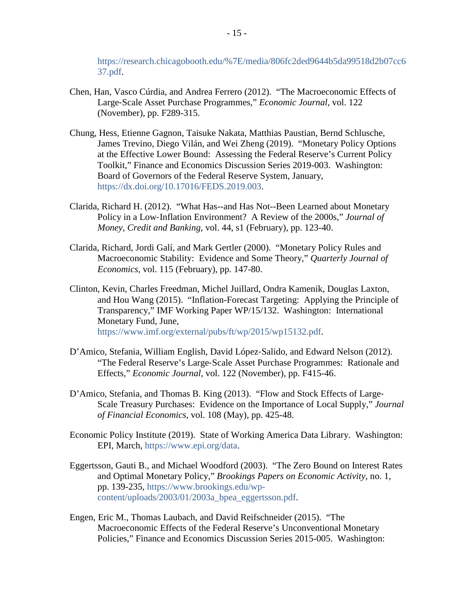[https://research.chicagobooth.edu/%7E/media/806fc2ded9644b5da99518d2b07cc6](https://research.chicagobooth.edu/%7E/media/806fc2ded9644b5da99518d2b07cc637.pdf) [37.pdf.](https://research.chicagobooth.edu/%7E/media/806fc2ded9644b5da99518d2b07cc637.pdf)

- Chen, Han, Vasco Cúrdia, and Andrea Ferrero (2012). "The Macroeconomic Effects of Large-Scale Asset Purchase Programmes," *Economic Journal,* vol. 122 (November), pp. F289-315.
- Chung, Hess, Etienne Gagnon, Taisuke Nakata, Matthias Paustian, Bernd Schlusche, James Trevino, Diego Vilán, and Wei Zheng (2019). "Monetary Policy Options at the Effective Lower Bound: Assessing the Federal Reserve's Current Policy Toolkit," Finance and Economics Discussion Series 2019-003. Washington: Board of Governors of the Federal Reserve System, January, [https://dx.doi.org/10.17016/FEDS.2019.003.](https://dx.doi.org/10.17016/FEDS.2019.003)
- Clarida, Richard H. (2012). "What Has--and Has Not--Been Learned about Monetary Policy in a Low-Inflation Environment? A Review of the 2000s," *Journal of Money, Credit and Banking,* vol. 44, s1 (February), pp. 123-40.
- Clarida, Richard, Jordi Galí, and Mark Gertler (2000). "Monetary Policy Rules and Macroeconomic Stability: Evidence and Some Theory," *Quarterly Journal of Economics,* vol. 115 (February), pp. 147-80.
- Clinton, Kevin, Charles Freedman, Michel Juillard, Ondra Kamenik, Douglas Laxton, and Hou Wang (2015). "Inflation-Forecast Targeting: Applying the Principle of Transparency," IMF Working Paper WP/15/132. Washington: International Monetary Fund, June, [https://www.imf.org/external/pubs/ft/wp/2015/wp15132.pdf.](https://www.imf.org/external/pubs/ft/wp/2015/wp15132.pdf)
- D'Amico, Stefania, William English, David López-Salido, and Edward Nelson (2012). "The Federal Reserve's Large-Scale Asset Purchase Programmes: Rationale and Effects," *Economic Journal,* vol. 122 (November), pp. F415-46.
- D'Amico, Stefania, and Thomas B. King (2013). "Flow and Stock Effects of Large-Scale Treasury Purchases: Evidence on the Importance of Local Supply," *Journal of Financial Economics,* vol. 108 (May), pp. 425-48.
- Economic Policy Institute (2019). State of Working America Data Library. Washington: EPI, March, [https://www.epi.org/data.](https://www.epi.org/data/)
- Eggertsson, Gauti B., and Michael Woodford (2003). "The Zero Bound on Interest Rates and Optimal Monetary Policy," *Brookings Papers on Economic Activity,* no. 1, pp. 139-235, [https://www.brookings.edu/wp](https://www.brookings.edu/wp-content/uploads/2003/01/2003a_bpea_eggertsson.pdf)[content/uploads/2003/01/2003a\\_bpea\\_eggertsson.pdf.](https://www.brookings.edu/wp-content/uploads/2003/01/2003a_bpea_eggertsson.pdf)
- Engen, Eric M., Thomas Laubach, and David Reifschneider (2015). "The Macroeconomic Effects of the Federal Reserve's Unconventional Monetary Policies," Finance and Economics Discussion Series 2015-005. Washington: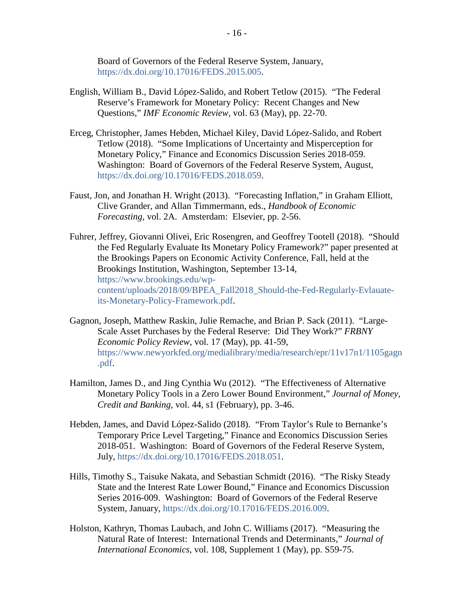Board of Governors of the Federal Reserve System, January, [https://dx.doi.org/10.17016/FEDS.2015.005.](https://dx.doi.org/10.17016/FEDS.2015.005)

- English, William B., David López-Salido, and Robert Tetlow (2015). "The Federal Reserve's Framework for Monetary Policy: Recent Changes and New Questions," *IMF Economic Review,* vol. 63 (May), pp. 22-70.
- Erceg, Christopher, James Hebden, Michael Kiley, David López-Salido, and Robert Tetlow (2018). "Some Implications of Uncertainty and Misperception for Monetary Policy," Finance and Economics Discussion Series 2018-059. Washington: Board of Governors of the Federal Reserve System, August, [https://dx.doi.org/10.17016/FEDS.2018.059.](https://dx.doi.org/10.17016/FEDS.2018.059)
- Faust, Jon, and Jonathan H. Wright (2013). "Forecasting Inflation," in Graham Elliott, Clive Grander, and Allan Timmermann, eds., *Handbook of Economic Forecasting,* vol. 2A. Amsterdam: Elsevier, pp. 2-56.
- Fuhrer, Jeffrey, Giovanni Olivei, Eric Rosengren, and Geoffrey Tootell (2018). "Should the Fed Regularly Evaluate Its Monetary Policy Framework?" paper presented at the Brookings Papers on Economic Activity Conference*,* Fall, held at the Brookings Institution, Washington, September 13-14, [https://www.brookings.edu/wp](https://www.brookings.edu/wp-content/uploads/2018/09/BPEA_Fall2018_Should-the-Fed-Regularly-Evlauate-its-Monetary-Policy-Framework.pdf)[content/uploads/2018/09/BPEA\\_Fall2018\\_Should-the-Fed-Regularly-Evlauate](https://www.brookings.edu/wp-content/uploads/2018/09/BPEA_Fall2018_Should-the-Fed-Regularly-Evlauate-its-Monetary-Policy-Framework.pdf)[its-Monetary-Policy-Framework.pdf.](https://www.brookings.edu/wp-content/uploads/2018/09/BPEA_Fall2018_Should-the-Fed-Regularly-Evlauate-its-Monetary-Policy-Framework.pdf)
- Gagnon, Joseph, Matthew Raskin, Julie Remache, and Brian P. Sack (2011). "Large-Scale Asset Purchases by the Federal Reserve: Did They Work?" *FRBNY Economic Policy Review,* vol. 17 (May), pp. 41-59, [https://www.newyorkfed.org/medialibrary/media/research/epr/11v17n1/1105gagn](https://www.newyorkfed.org/medialibrary/media/research/epr/11v17n1/1105gagn.pdf) [.pdf.](https://www.newyorkfed.org/medialibrary/media/research/epr/11v17n1/1105gagn.pdf)
- Hamilton, James D., and Jing Cynthia Wu (2012). "The Effectiveness of Alternative Monetary Policy Tools in a Zero Lower Bound Environment," *Journal of Money, Credit and Banking,* vol. 44, s1 (February), pp. 3-46.
- Hebden, James, and David López-Salido (2018). "From Taylor's Rule to Bernanke's Temporary Price Level Targeting," Finance and Economics Discussion Series 2018-051. Washington: Board of Governors of the Federal Reserve System, July, [https://dx.doi.org/10.17016/FEDS.2018.051.](https://dx.doi.org/10.17016/FEDS.2018.051)
- Hills, Timothy S., Taisuke Nakata, and Sebastian Schmidt (2016). "The Risky Steady State and the Interest Rate Lower Bound," Finance and Economics Discussion Series 2016-009. Washington: Board of Governors of the Federal Reserve System, January, [https://dx.doi.org/10.17016/FEDS.2016.009.](https://dx.doi.org/10.17016/FEDS.2016.009)
- Holston, Kathryn, Thomas Laubach, and John C. Williams (2017). "Measuring the Natural Rate of Interest: International Trends and Determinants," *Journal of International Economics,* vol. 108, Supplement 1 (May), pp. S59-75.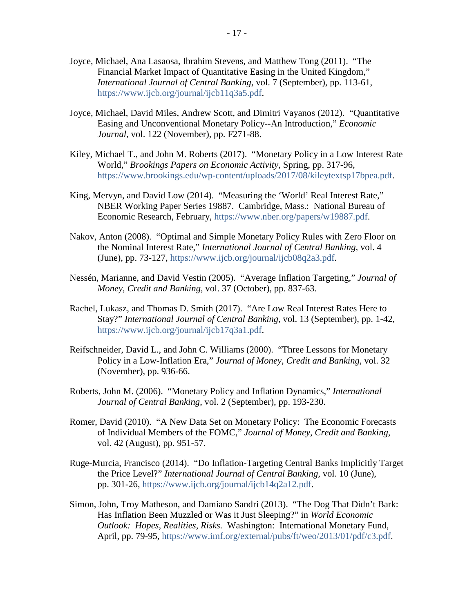- Joyce, Michael, Ana Lasaosa, Ibrahim Stevens, and Matthew Tong (2011). "The Financial Market Impact of Quantitative Easing in the United Kingdom," *International Journal of Central Banking,* vol. 7 (September), pp. 113-61, [https://www.ijcb.org/journal/ijcb11q3a5.pdf.](https://www.ijcb.org/journal/ijcb11q3a5.pdf)
- Joyce, Michael, David Miles, Andrew Scott, and Dimitri Vayanos (2012). "Quantitative Easing and Unconventional Monetary Policy--An Introduction," *Economic Journal,* vol. 122 (November), pp. F271-88.
- Kiley, Michael T., and John M. Roberts (2017). "Monetary Policy in a Low Interest Rate World," *Brookings Papers on Economic Activity,* Spring, pp. 317-96, [https://www.brookings.edu/wp-content/uploads/2017/08/kileytextsp17bpea.pdf.](https://www.brookings.edu/wp-content/uploads/2017/08/kileytextsp17bpea.pdf)
- King, Mervyn, and David Low (2014). "Measuring the 'World' Real Interest Rate," NBER Working Paper Series 19887. Cambridge, Mass.: National Bureau of Economic Research, February, [https://www.nber.org/papers/w19887.pdf.](https://www.nber.org/papers/w19887.pdf)
- Nakov, Anton (2008). "Optimal and Simple Monetary Policy Rules with Zero Floor on the Nominal Interest Rate," *International Journal of Central Banking,* vol. 4 (June), pp. 73-127, [https://www.ijcb.org/journal/ijcb08q2a3.pdf.](https://www.ijcb.org/journal/ijcb08q2a3.pdf)
- Nessén, Marianne, and David Vestin (2005). "Average Inflation Targeting," *Journal of Money, Credit and Banking*, vol. 37 (October), pp. 837-63.
- Rachel, Lukasz, and Thomas D. Smith (2017). "Are Low Real Interest Rates Here to Stay?" *International Journal of Central Banking,* vol. 13 (September), pp. 1-42, [https://www.ijcb.org/journal/ijcb17q3a1.pdf.](https://www.ijcb.org/journal/ijcb17q3a1.pdf)
- Reifschneider, David L., and John C. Williams (2000). "Three Lessons for Monetary Policy in a Low-Inflation Era," *Journal of Money, Credit and Banking,* vol. 32 (November), pp. 936-66.
- Roberts, John M. (2006). "Monetary Policy and Inflation Dynamics," *International Journal of Central Banking*, vol. 2 (September), pp. 193-230.
- Romer, David (2010). "A New Data Set on Monetary Policy: The Economic Forecasts of Individual Members of the FOMC," *Journal of Money, Credit and Banking,* vol. 42 (August), pp. 951-57.
- Ruge-Murcia, Francisco (2014). "Do Inflation-Targeting Central Banks Implicitly Target the Price Level?" *International Journal of Central Banking,* vol. 10 (June), pp. 301-26, [https://www.ijcb.org/journal/ijcb14q2a12.pdf.](https://www.ijcb.org/journal/ijcb14q2a12.pdf)
- Simon, John, Troy Matheson, and Damiano Sandri (2013). "The Dog That Didn't Bark: Has Inflation Been Muzzled or Was it Just Sleeping?" in *World Economic Outlook: Hopes, Realities, Risks.* Washington: International Monetary Fund, April, pp. 79-95, [https://www.imf.org/external/pubs/ft/weo/2013/01/pdf/c3.pdf.](https://www.imf.org/external/pubs/ft/weo/2013/01/pdf/c3.pdf)